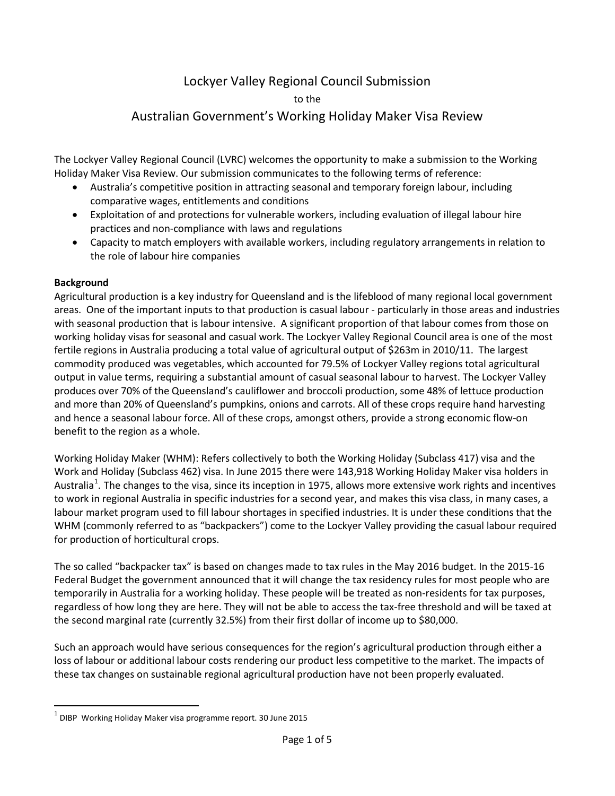## Lockyer Valley Regional Council Submission

to the

## Australian Government's Working Holiday Maker Visa Review

The Lockyer Valley Regional Council (LVRC) welcomes the opportunity to make a submission to the Working Holiday Maker Visa Review. Our submission communicates to the following terms of reference:

- Australia's competitive position in attracting seasonal and temporary foreign labour, including comparative wages, entitlements and conditions
- Exploitation of and protections for vulnerable workers, including evaluation of illegal labour hire practices and non-compliance with laws and regulations
- Capacity to match employers with available workers, including regulatory arrangements in relation to the role of labour hire companies

## **Background**

 $\overline{a}$ 

Agricultural production is a key industry for Queensland and is the lifeblood of many regional local government areas. One of the important inputs to that production is casual labour - particularly in those areas and industries with seasonal production that is labour intensive. A significant proportion of that labour comes from those on working holiday visas for seasonal and casual work. The Lockyer Valley Regional Council area is one of the most fertile regions in Australia producing a total value of agricultural output of \$263m in 2010/11. The largest commodity produced was vegetables, which accounted for 79.5% of Lockyer Valley regions total agricultural output in value terms, requiring a substantial amount of casual seasonal labour to harvest. The Lockyer Valley produces over 70% of the Queensland's cauliflower and broccoli production, some 48% of lettuce production and more than 20% of Queensland's pumpkins, onions and carrots. All of these crops require hand harvesting and hence a seasonal labour force. All of these crops, amongst others, provide a strong economic flow-on benefit to the region as a whole.

Working Holiday Maker (WHM): Refers collectively to both the Working Holiday (Subclass 417) visa and the Work and Holiday (Subclass 462) visa. In June 2015 there were 143,918 Working Holiday Maker visa holders in Australia<sup>[1](#page-0-0)</sup>. The changes to the visa, since its inception in 1975, allows more extensive work rights and incentives to work in regional Australia in specific industries for a second year, and makes this visa class, in many cases, a labour market program used to fill labour shortages in specified industries. It is under these conditions that the WHM (commonly referred to as "backpackers") come to the Lockyer Valley providing the casual labour required for production of horticultural crops.

The so called "backpacker tax" is based on changes made to tax rules in the May 2016 budget. In the 2015-16 Federal Budget the government announced that it will change the tax residency rules for most people who are temporarily in Australia for a working holiday. These people will be treated as non-residents for tax purposes, regardless of how long they are here. They will not be able to access the tax-free threshold and will be taxed at the second marginal rate (currently 32.5%) from their first dollar of income up to \$80,000.

Such an approach would have serious consequences for the region's agricultural production through either a loss of labour or additional labour costs rendering our product less competitive to the market. The impacts of these tax changes on sustainable regional agricultural production have not been properly evaluated.

<span id="page-0-0"></span> $1$  DIBP Working Holiday Maker visa programme report. 30 June 2015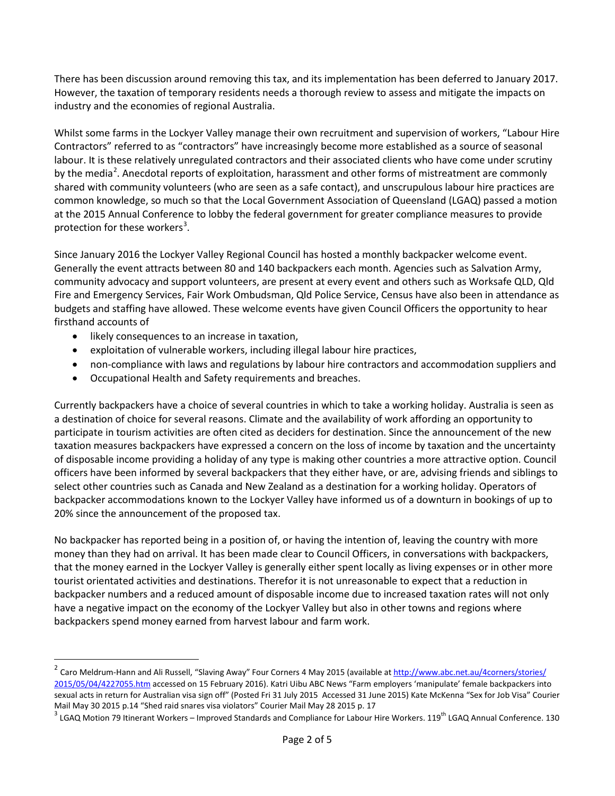There has been discussion around removing this tax, and its implementation has been deferred to January 2017. However, the taxation of temporary residents needs a thorough review to assess and mitigate the impacts on industry and the economies of regional Australia.

Whilst some farms in the Lockyer Valley manage their own recruitment and supervision of workers, "Labour Hire Contractors" referred to as "contractors" have increasingly become more established as a source of seasonal labour. It is these relatively unregulated contractors and their associated clients who have come under scrutiny by the media<sup>[2](#page-1-0)</sup>. Anecdotal reports of exploitation, harassment and other forms of mistreatment are commonly shared with community volunteers (who are seen as a safe contact), and unscrupulous labour hire practices are common knowledge, so much so that the Local Government Association of Queensland (LGAQ) passed a motion at the 2015 Annual Conference to lobby the federal government for greater compliance measures to provide protection for these workers<sup>[3](#page-1-1)</sup>.

Since January 2016 the Lockyer Valley Regional Council has hosted a monthly backpacker welcome event. Generally the event attracts between 80 and 140 backpackers each month. Agencies such as Salvation Army, community advocacy and support volunteers, are present at every event and others such as Worksafe QLD, Qld Fire and Emergency Services, Fair Work Ombudsman, Qld Police Service, Census have also been in attendance as budgets and staffing have allowed. These welcome events have given Council Officers the opportunity to hear firsthand accounts of

• likely consequences to an increase in taxation,

l

- exploitation of vulnerable workers, including illegal labour hire practices,
- non-compliance with laws and regulations by labour hire contractors and accommodation suppliers and
- Occupational Health and Safety requirements and breaches.

Currently backpackers have a choice of several countries in which to take a working holiday. Australia is seen as a destination of choice for several reasons. Climate and the availability of work affording an opportunity to participate in tourism activities are often cited as deciders for destination. Since the announcement of the new taxation measures backpackers have expressed a concern on the loss of income by taxation and the uncertainty of disposable income providing a holiday of any type is making other countries a more attractive option. Council officers have been informed by several backpackers that they either have, or are, advising friends and siblings to select other countries such as Canada and New Zealand as a destination for a working holiday. Operators of backpacker accommodations known to the Lockyer Valley have informed us of a downturn in bookings of up to 20% since the announcement of the proposed tax.

No backpacker has reported being in a position of, or having the intention of, leaving the country with more money than they had on arrival. It has been made clear to Council Officers, in conversations with backpackers, that the money earned in the Lockyer Valley is generally either spent locally as living expenses or in other more tourist orientated activities and destinations. Therefor it is not unreasonable to expect that a reduction in backpacker numbers and a reduced amount of disposable income due to increased taxation rates will not only have a negative impact on the economy of the Lockyer Valley but also in other towns and regions where backpackers spend money earned from harvest labour and farm work.

<span id="page-1-0"></span><sup>&</sup>lt;sup>2</sup> Caro Meldrum-Hann and Ali Russell, "Slaving Away" Four Corners 4 May 2015 (available at http://www.abc.net.au/4corners/stories/ [2015/05/04/4227055.htm](http://www.abc.net.au/4corners/stories/%202015/05/04/4227055.htm) accessed on 15 February 2016). Katri Uibu ABC News "Farm employers 'manipulate' female backpackers into sexual acts in return for Australian visa sign off" (Posted Fri 31 July 2015 Accessed 31 June 2015) Kate McKenna "Sex for Job Visa" Courier Mail May 30 2015 p.14 "Shed raid snares visa violators" Courier Mail May 28 2015 p. 17

<span id="page-1-1"></span> $^3$  LGAQ Motion 79 Itinerant Workers – Improved Standards and Compliance for Labour Hire Workers. 119<sup>th</sup> LGAQ Annual Conference. 130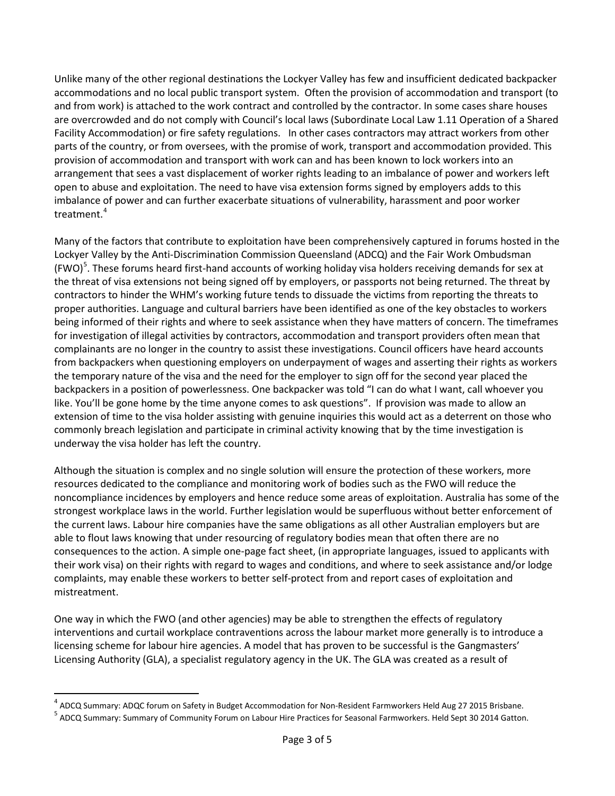Unlike many of the other regional destinations the Lockyer Valley has few and insufficient dedicated backpacker accommodations and no local public transport system. Often the provision of accommodation and transport (to and from work) is attached to the work contract and controlled by the contractor. In some cases share houses are overcrowded and do not comply with Council's local laws (Subordinate Local Law 1.11 Operation of a Shared Facility Accommodation) or fire safety regulations. In other cases contractors may attract workers from other parts of the country, or from oversees, with the promise of work, transport and accommodation provided. This provision of accommodation and transport with work can and has been known to lock workers into an arrangement that sees a vast displacement of worker rights leading to an imbalance of power and workers left open to abuse and exploitation. The need to have visa extension forms signed by employers adds to this imbalance of power and can further exacerbate situations of vulnerability, harassment and poor worker treatment. $4$ 

Many of the factors that contribute to exploitation have been comprehensively captured in forums hosted in the Lockyer Valley by the Anti-Discrimination Commission Queensland (ADCQ) and the Fair Work Ombudsman (FWO)<sup>[5](#page-2-1)</sup>. These forums heard first-hand accounts of working holiday visa holders receiving demands for sex at the threat of visa extensions not being signed off by employers, or passports not being returned. The threat by contractors to hinder the WHM's working future tends to dissuade the victims from reporting the threats to proper authorities. Language and cultural barriers have been identified as one of the key obstacles to workers being informed of their rights and where to seek assistance when they have matters of concern. The timeframes for investigation of illegal activities by contractors, accommodation and transport providers often mean that complainants are no longer in the country to assist these investigations. Council officers have heard accounts from backpackers when questioning employers on underpayment of wages and asserting their rights as workers the temporary nature of the visa and the need for the employer to sign off for the second year placed the backpackers in a position of powerlessness. One backpacker was told "I can do what I want, call whoever you like. You'll be gone home by the time anyone comes to ask questions". If provision was made to allow an extension of time to the visa holder assisting with genuine inquiries this would act as a deterrent on those who commonly breach legislation and participate in criminal activity knowing that by the time investigation is underway the visa holder has left the country.

Although the situation is complex and no single solution will ensure the protection of these workers, more resources dedicated to the compliance and monitoring work of bodies such as the FWO will reduce the noncompliance incidences by employers and hence reduce some areas of exploitation. Australia has some of the strongest workplace laws in the world. Further legislation would be superfluous without better enforcement of the current laws. Labour hire companies have the same obligations as all other Australian employers but are able to flout laws knowing that under resourcing of regulatory bodies mean that often there are no consequences to the action. A simple one-page fact sheet, (in appropriate languages, issued to applicants with their work visa) on their rights with regard to wages and conditions, and where to seek assistance and/or lodge complaints, may enable these workers to better self-protect from and report cases of exploitation and mistreatment.

One way in which the FWO (and other agencies) may be able to strengthen the effects of regulatory interventions and curtail workplace contraventions across the labour market more generally is to introduce a licensing scheme for labour hire agencies. A model that has proven to be successful is the Gangmasters' Licensing Authority (GLA), a specialist regulatory agency in the UK. The GLA was created as a result of

 $\overline{\phantom{a}}$ 

<span id="page-2-0"></span><sup>4</sup> ADCQ Summary: ADQC forum on Safety in Budget Accommodation for Non-Resident Farmworkers Held Aug 27 2015 Brisbane.

<span id="page-2-1"></span><sup>5</sup> ADCQ Summary: Summary of Community Forum on Labour Hire Practices for Seasonal Farmworkers. Held Sept 30 2014 Gatton.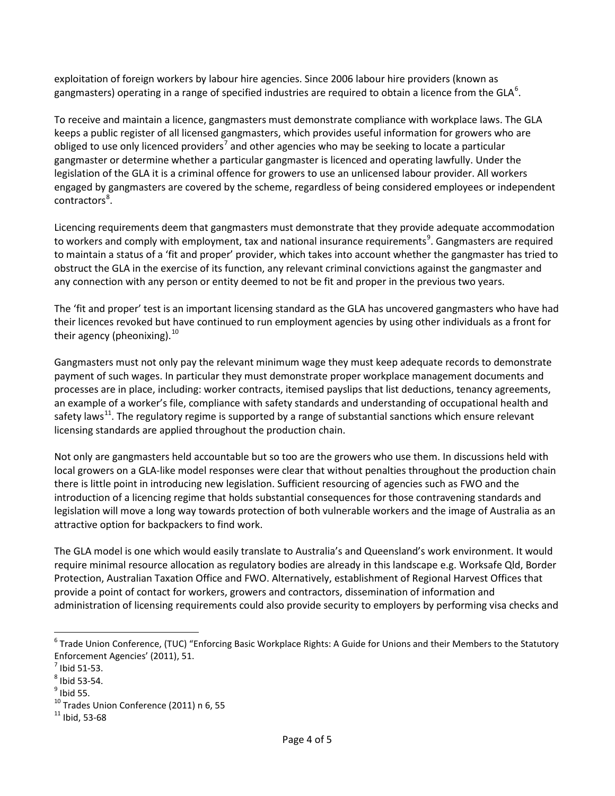exploitation of foreign workers by labour hire agencies. Since 2006 labour hire providers (known as gangmasters) operating in a range of specified industries are required to obtain a licence from the GLA<sup>[6](#page-3-0)</sup>.

To receive and maintain a licence, gangmasters must demonstrate compliance with workplace laws. The GLA keeps a public register of all licensed gangmasters, which provides useful information for growers who are obliged to use only licenced providers<sup>[7](#page-3-1)</sup> and other agencies who may be seeking to locate a particular gangmaster or determine whether a particular gangmaster is licenced and operating lawfully. Under the legislation of the GLA it is a criminal offence for growers to use an unlicensed labour provider. All workers engaged by gangmasters are covered by the scheme, regardless of being considered employees or independent contractors<sup>[8](#page-3-2)</sup>.

Licencing requirements deem that gangmasters must demonstrate that they provide adequate accommodation to workers and comply with employment, tax and national insurance requirements<sup>[9](#page-3-3)</sup>. Gangmasters are required to maintain a status of a 'fit and proper' provider, which takes into account whether the gangmaster has tried to obstruct the GLA in the exercise of its function, any relevant criminal convictions against the gangmaster and any connection with any person or entity deemed to not be fit and proper in the previous two years.

The 'fit and proper' test is an important licensing standard as the GLA has uncovered gangmasters who have had their licences revoked but have continued to run employment agencies by using other individuals as a front for their agency (pheonixing).<sup>[10](#page-3-4)</sup>

Gangmasters must not only pay the relevant minimum wage they must keep adequate records to demonstrate payment of such wages. In particular they must demonstrate proper workplace management documents and processes are in place, including: worker contracts, itemised payslips that list deductions, tenancy agreements, an example of a worker's file, compliance with safety standards and understanding of occupational health and safety laws<sup>[11](#page-3-5)</sup>. The regulatory regime is supported by a range of substantial sanctions which ensure relevant licensing standards are applied throughout the production chain.

Not only are gangmasters held accountable but so too are the growers who use them. In discussions held with local growers on a GLA-like model responses were clear that without penalties throughout the production chain there is little point in introducing new legislation. Sufficient resourcing of agencies such as FWO and the introduction of a licencing regime that holds substantial consequences for those contravening standards and legislation will move a long way towards protection of both vulnerable workers and the image of Australia as an attractive option for backpackers to find work.

The GLA model is one which would easily translate to Australia's and Queensland's work environment. It would require minimal resource allocation as regulatory bodies are already in this landscape e.g. Worksafe Qld, Border Protection, Australian Taxation Office and FWO. Alternatively, establishment of Regional Harvest Offices that provide a point of contact for workers, growers and contractors, dissemination of information and administration of licensing requirements could also provide security to employers by performing visa checks and

 $\overline{\phantom{a}}$ 

<span id="page-3-0"></span> $6$  Trade Union Conference, (TUC) "Enforcing Basic Workplace Rights: A Guide for Unions and their Members to the Statutory Enforcement Agencies' (2011), 51.<br> $^7$  Ibid 51-53.

<span id="page-3-2"></span><span id="page-3-1"></span> $<sup>8</sup>$  Ibid 53-54.<br> $<sup>9</sup>$  Ibid 55.</sup></sup>

<span id="page-3-3"></span>

<span id="page-3-5"></span><span id="page-3-4"></span> $10$  Trades Union Conference (2011) n 6, 55<br> $11$  Ibid, 53-68